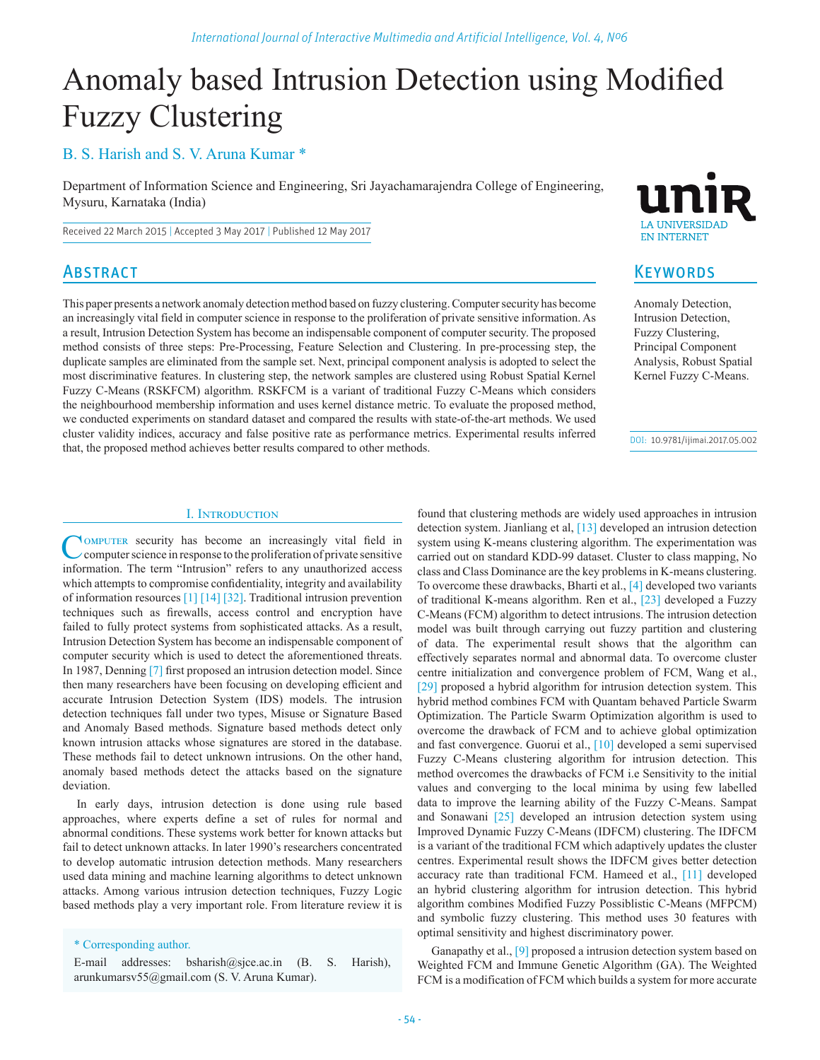# Anomaly based Intrusion Detection using Modified Fuzzy Clustering

# B. S. Harish and S. V. Aruna Kumar \*

Department of Information Science and Engineering, Sri Jayachamarajendra College of Engineering, Mysuru, Karnataka (India)

This paper presents a network anomaly detection method based on fuzzy clustering. Computer security has become an increasingly vital field in computer science in response to the proliferation of private sensitive information. As a result, Intrusion Detection System has become an indispensable component of computer security. The proposed method consists of three steps: Pre-Processing, Feature Selection and Clustering. In pre-processing step, the duplicate samples are eliminated from the sample set. Next, principal component analysis is adopted to select the most discriminative features. In clustering step, the network samples are clustered using Robust Spatial Kernel Fuzzy C-Means (RSKFCM) algorithm. RSKFCM is a variant of traditional Fuzzy C-Means which considers the neighbourhood membership information and uses kernel distance metric. To evaluate the proposed method, we conducted experiments on standard dataset and compared the results with state-of-the-art methods. We used cluster validity indices, accuracy and false positive rate as performance metrics. Experimental results inferred

Received 22 March 2015 | Accepted 3 May 2017 | Published 12 May 2017

# **ABSTRACT**

**LA IINIVERSIDAT EN INTERNET** 

## **KEYWORDS**

Anomaly Detection, Intrusion Detection, Fuzzy Clustering, Principal Component Analysis, Robust Spatial Kernel Fuzzy C-Means.

DOI: 10.9781/ijimai.2017.05.002

#### I. Introduction

that, the proposed method achieves better results compared to other methods.

Computer security has become an increasingly vital field in computer science in response to the proliferation of private sensitive information. The term "Intrusion" refers to any unauthorized access which attempts to compromise confidentiality, integrity and availability of information resources [1] [14] [32]. Traditional intrusion prevention techniques such as firewalls, access control and encryption have failed to fully protect systems from sophisticated attacks. As a result, Intrusion Detection System has become an indispensable component of computer security which is used to detect the aforementioned threats. In 1987, Denning [7] first proposed an intrusion detection model. Since then many researchers have been focusing on developing efficient and accurate Intrusion Detection System (IDS) models. The intrusion detection techniques fall under two types, Misuse or Signature Based and Anomaly Based methods. Signature based methods detect only known intrusion attacks whose signatures are stored in the database. These methods fail to detect unknown intrusions. On the other hand, anomaly based methods detect the attacks based on the signature deviation.

In early days, intrusion detection is done using rule based approaches, where experts define a set of rules for normal and abnormal conditions. These systems work better for known attacks but fail to detect unknown attacks. In later 1990's researchers concentrated to develop automatic intrusion detection methods. Many researchers used data mining and machine learning algorithms to detect unknown attacks. Among various intrusion detection techniques, Fuzzy Logic based methods play a very important role. From literature review it is

\* Corresponding author.

E-mail addresses: bsharish@sjce.ac.in (B. S. Harish), arunkumarsv55@gmail.com (S. V. Aruna Kumar).

found that clustering methods are widely used approaches in intrusion detection system. Jianliang et al, [13] developed an intrusion detection system using K-means clustering algorithm. The experimentation was carried out on standard KDD-99 dataset. Cluster to class mapping, No class and Class Dominance are the key problems in K-means clustering. To overcome these drawbacks, Bharti et al., [4] developed two variants of traditional K-means algorithm. Ren et al., [23] developed a Fuzzy C-Means (FCM) algorithm to detect intrusions. The intrusion detection model was built through carrying out fuzzy partition and clustering of data. The experimental result shows that the algorithm can effectively separates normal and abnormal data. To overcome cluster centre initialization and convergence problem of FCM, Wang et al., [29] proposed a hybrid algorithm for intrusion detection system. This hybrid method combines FCM with Quantam behaved Particle Swarm Optimization. The Particle Swarm Optimization algorithm is used to overcome the drawback of FCM and to achieve global optimization and fast convergence. Guorui et al., [10] developed a semi supervised Fuzzy C-Means clustering algorithm for intrusion detection. This method overcomes the drawbacks of FCM i.e Sensitivity to the initial values and converging to the local minima by using few labelled data to improve the learning ability of the Fuzzy C-Means. Sampat and Sonawani [25] developed an intrusion detection system using Improved Dynamic Fuzzy C-Means (IDFCM) clustering. The IDFCM is a variant of the traditional FCM which adaptively updates the cluster centres. Experimental result shows the IDFCM gives better detection accuracy rate than traditional FCM. Hameed et al., [11] developed an hybrid clustering algorithm for intrusion detection. This hybrid algorithm combines Modified Fuzzy Possiblistic C-Means (MFPCM) and symbolic fuzzy clustering. This method uses 30 features with optimal sensitivity and highest discriminatory power.

Ganapathy et al., [9] proposed a intrusion detection system based on Weighted FCM and Immune Genetic Algorithm (GA). The Weighted FCM is a modification of FCM which builds a system for more accurate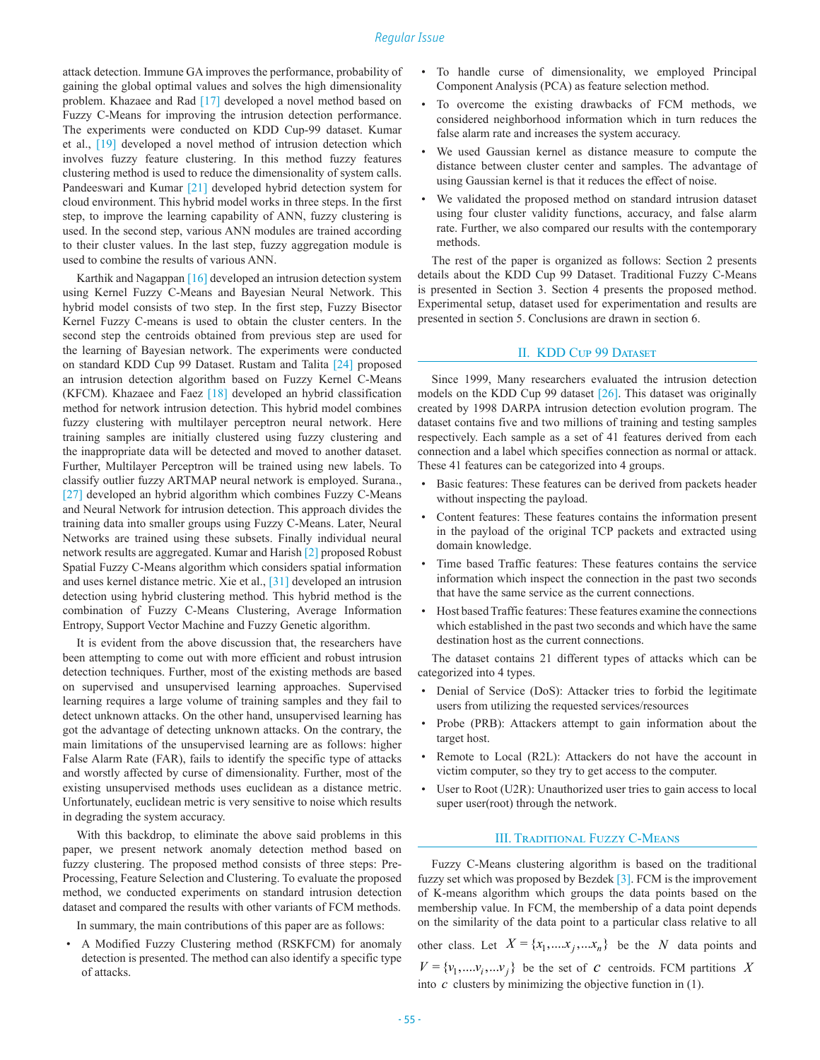attack detection. Immune GA improves the performance, probability of gaining the global optimal values and solves the high dimensionality problem. Khazaee and Rad [17] developed a novel method based on Fuzzy C-Means for improving the intrusion detection performance. The experiments were conducted on KDD Cup-99 dataset. Kumar et al., [19] developed a novel method of intrusion detection which involves fuzzy feature clustering. In this method fuzzy features clustering method is used to reduce the dimensionality of system calls. Pandeeswari and Kumar [21] developed hybrid detection system for cloud environment. This hybrid model works in three steps. In the first step, to improve the learning capability of ANN, fuzzy clustering is used. In the second step, various ANN modules are trained according to their cluster values. In the last step, fuzzy aggregation module is used to combine the results of various ANN.

Karthik and Nagappan [16] developed an intrusion detection system using Kernel Fuzzy C-Means and Bayesian Neural Network. This hybrid model consists of two step. In the first step, Fuzzy Bisector Kernel Fuzzy C-means is used to obtain the cluster centers. In the second step the centroids obtained from previous step are used for the learning of Bayesian network. The experiments were conducted on standard KDD Cup 99 Dataset. Rustam and Talita [24] proposed an intrusion detection algorithm based on Fuzzy Kernel C-Means (KFCM). Khazaee and Faez [18] developed an hybrid classification method for network intrusion detection. This hybrid model combines fuzzy clustering with multilayer perceptron neural network. Here training samples are initially clustered using fuzzy clustering and the inappropriate data will be detected and moved to another dataset. Further, Multilayer Perceptron will be trained using new labels. To classify outlier fuzzy ARTMAP neural network is employed. Surana., [27] developed an hybrid algorithm which combines Fuzzy C-Means and Neural Network for intrusion detection. This approach divides the training data into smaller groups using Fuzzy C-Means. Later, Neural Networks are trained using these subsets. Finally individual neural network results are aggregated. Kumar and Harish [2] proposed Robust Spatial Fuzzy C-Means algorithm which considers spatial information and uses kernel distance metric. Xie et al., [31] developed an intrusion detection using hybrid clustering method. This hybrid method is the combination of Fuzzy C-Means Clustering, Average Information Entropy, Support Vector Machine and Fuzzy Genetic algorithm.

It is evident from the above discussion that, the researchers have been attempting to come out with more efficient and robust intrusion detection techniques. Further, most of the existing methods are based on supervised and unsupervised learning approaches. Supervised learning requires a large volume of training samples and they fail to detect unknown attacks. On the other hand, unsupervised learning has got the advantage of detecting unknown attacks. On the contrary, the main limitations of the unsupervised learning are as follows: higher False Alarm Rate (FAR), fails to identify the specific type of attacks and worstly affected by curse of dimensionality. Further, most of the existing unsupervised methods uses euclidean as a distance metric. Unfortunately, euclidean metric is very sensitive to noise which results in degrading the system accuracy.

With this backdrop, to eliminate the above said problems in this paper, we present network anomaly detection method based on fuzzy clustering. The proposed method consists of three steps: Pre-Processing, Feature Selection and Clustering. To evaluate the proposed method, we conducted experiments on standard intrusion detection dataset and compared the results with other variants of FCM methods.

In summary, the main contributions of this paper are as follows:

• A Modified Fuzzy Clustering method (RSKFCM) for anomaly detection is presented. The method can also identify a specific type of attacks.

- To handle curse of dimensionality, we employed Principal Component Analysis (PCA) as feature selection method.
- To overcome the existing drawbacks of FCM methods, we considered neighborhood information which in turn reduces the false alarm rate and increases the system accuracy.
- We used Gaussian kernel as distance measure to compute the distance between cluster center and samples. The advantage of using Gaussian kernel is that it reduces the effect of noise.
- We validated the proposed method on standard intrusion dataset using four cluster validity functions, accuracy, and false alarm rate. Further, we also compared our results with the contemporary methods.

The rest of the paper is organized as follows: Section 2 presents details about the KDD Cup 99 Dataset. Traditional Fuzzy C-Means is presented in Section 3. Section 4 presents the proposed method. Experimental setup, dataset used for experimentation and results are presented in section 5. Conclusions are drawn in section 6.

#### II. KDD Cup 99 Dataset

Since 1999, Many researchers evaluated the intrusion detection models on the KDD Cup 99 dataset  $[26]$ . This dataset was originally created by 1998 DARPA intrusion detection evolution program. The dataset contains five and two millions of training and testing samples respectively. Each sample as a set of 41 features derived from each connection and a label which specifies connection as normal or attack. These 41 features can be categorized into 4 groups.

- Basic features: These features can be derived from packets header without inspecting the payload.
- Content features: These features contains the information present in the payload of the original TCP packets and extracted using domain knowledge.
- Time based Traffic features: These features contains the service information which inspect the connection in the past two seconds that have the same service as the current connections.
- Host based Traffic features: These features examine the connections which established in the past two seconds and which have the same destination host as the current connections.

The dataset contains 21 different types of attacks which can be categorized into 4 types.

- Denial of Service (DoS): Attacker tries to forbid the legitimate users from utilizing the requested services/resources
- Probe (PRB): Attackers attempt to gain information about the target host.
- Remote to Local (R2L): Attackers do not have the account in victim computer, so they try to get access to the computer.
- User to Root (U2R): Unauthorized user tries to gain access to local super user(root) through the network.

## III. Traditional Fuzzy C-Means

Fuzzy C-Means clustering algorithm is based on the traditional fuzzy set which was proposed by Bezdek [3]. FCM is the improvement of K-means algorithm which groups the data points based on the membership value. In FCM, the membership of a data point depends on the similarity of the data point to a particular class relative to all

other class. Let  $X = \{x_1, \ldots, x_i, \ldots, x_n\}$  be the *N* data points and

 $V = {v_1, \ldots v_i, \ldots v_j}$  be the set of *c* centroids. FCM partitions *X* into *c* clusters by minimizing the objective function in (1).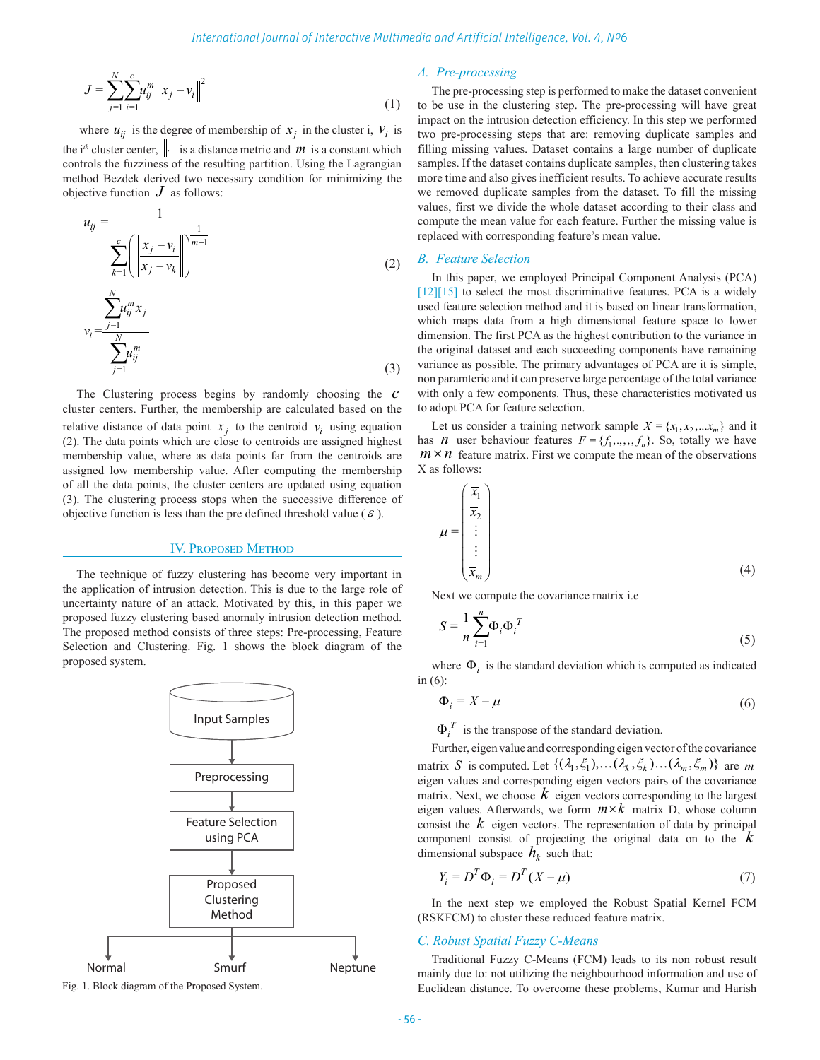$$
J = \sum_{j=1}^{N} \sum_{i=1}^{c} u_{ij}^{m} \|x_j - v_i\|^2
$$
 (1)

where  $u_{ij}$  is the degree of membership of  $x_j$  in the cluster i,  $v_i$  is the i<sup>th</sup> cluster center,  $\|\cdot\|$  is a distance metric and *m* is a constant which controls the fuzziness of the resulting partition. Using the Lagrangian method Bezdek derived two necessary condition for minimizing the objective function  $J$  as follows:

$$
u_{ij} = \frac{1}{\sum_{k=1}^{c} \left( \left\| \frac{x_j - v_i}{x_j - v_k} \right\| \right)^{\frac{1}{m-1}}}
$$
\n
$$
v_i = \frac{\sum_{j=1}^{N} u_{ij}^m x_j}{\sum_{j=1}^{N} u_{ij}^m}
$$
\n(2)

The Clustering process begins by randomly choosing the *c* cluster centers. Further, the membership are calculated based on the relative distance of data point  $x_j$  to the centroid  $v_i$  using equation (2). The data points which are close to centroids are assigned highest membership value, where as data points far from the centroids are assigned low membership value. After computing the membership of all the data points, the cluster centers are updated using equation (3). The clustering process stops when the successive difference of objective function is less than the pre defined threshold value ( $\varepsilon$ ).

#### IV. Proposed Method

The technique of fuzzy clustering has become very important in the application of intrusion detection. This is due to the large role of uncertainty nature of an attack. Motivated by this, in this paper we proposed fuzzy clustering based anomaly intrusion detection method. The proposed method consists of three steps: Pre-processing, Feature Selection and Clustering. Fig. 1 shows the block diagram of the proposed system.



Fig. 1. Block diagram of the Proposed System.

## *A. Pre-processing*

The pre-processing step is performed to make the dataset convenient to be use in the clustering step. The pre-processing will have great impact on the intrusion detection efficiency. In this step we performed two pre-processing steps that are: removing duplicate samples and filling missing values. Dataset contains a large number of duplicate samples. If the dataset contains duplicate samples, then clustering takes more time and also gives inefficient results. To achieve accurate results we removed duplicate samples from the dataset. To fill the missing values, first we divide the whole dataset according to their class and compute the mean value for each feature. Further the missing value is replaced with corresponding feature's mean value.

## *B. Feature Selection*

In this paper, we employed Principal Component Analysis (PCA)  $[12][15]$  to select the most discriminative features. PCA is a widely used feature selection method and it is based on linear transformation, which maps data from a high dimensional feature space to lower dimension. The first PCA as the highest contribution to the variance in the original dataset and each succeeding components have remaining variance as possible. The primary advantages of PCA are it is simple, non paramteric and it can preserve large percentage of the total variance with only a few components. Thus, these characteristics motivated us to adopt PCA for feature selection.

Let us consider a training network sample  $X = \{x_1, x_2, ... x_m\}$  and it has *n* user behaviour features  $F = \{f_1, \ldots, f_n\}$ . So, totally we have  $m \times n$  feature matrix. First we compute the mean of the observations X as follows:

$$
\mu = \begin{pmatrix} \overline{x}_1 \\ \overline{x}_2 \\ \vdots \\ \overline{x}_m \end{pmatrix}
$$
 (4)

Next we compute the covariance matrix i.e

$$
S = \frac{1}{n} \sum_{i=1}^{n} \Phi_i \Phi_i^T
$$
 (5)

where  $\Phi_i$  is the standard deviation which is computed as indicated in (6):

$$
\Phi_i = X - \mu \tag{6}
$$

 $\Phi_i^T$  is the transpose of the standard deviation.

Further, eigen value and corresponding eigen vector of the covariance matrix *S* is computed. Let  $\{(\lambda_1, \xi_1), \dots, (\lambda_k, \xi_k), \dots (\lambda_m, \xi_m)\}\)$  are *m* eigen values and corresponding eigen vectors pairs of the covariance matrix. Next, we choose  $k$  eigen vectors corresponding to the largest eigen values. Afterwards, we form  $m \times k$  matrix D, whose column consist the  $k$  eigen vectors. The representation of data by principal component consist of projecting the original data on to the *k* dimensional subspace  $h_k$  such that:

$$
Y_i = D^T \Phi_i = D^T (X - \mu)
$$
\n<sup>(7)</sup>

In the next step we employed the Robust Spatial Kernel FCM (RSKFCM) to cluster these reduced feature matrix.

### *C. Robust Spatial Fuzzy C-Means*

Traditional Fuzzy C-Means (FCM) leads to its non robust result mainly due to: not utilizing the neighbourhood information and use of Euclidean distance. To overcome these problems, Kumar and Harish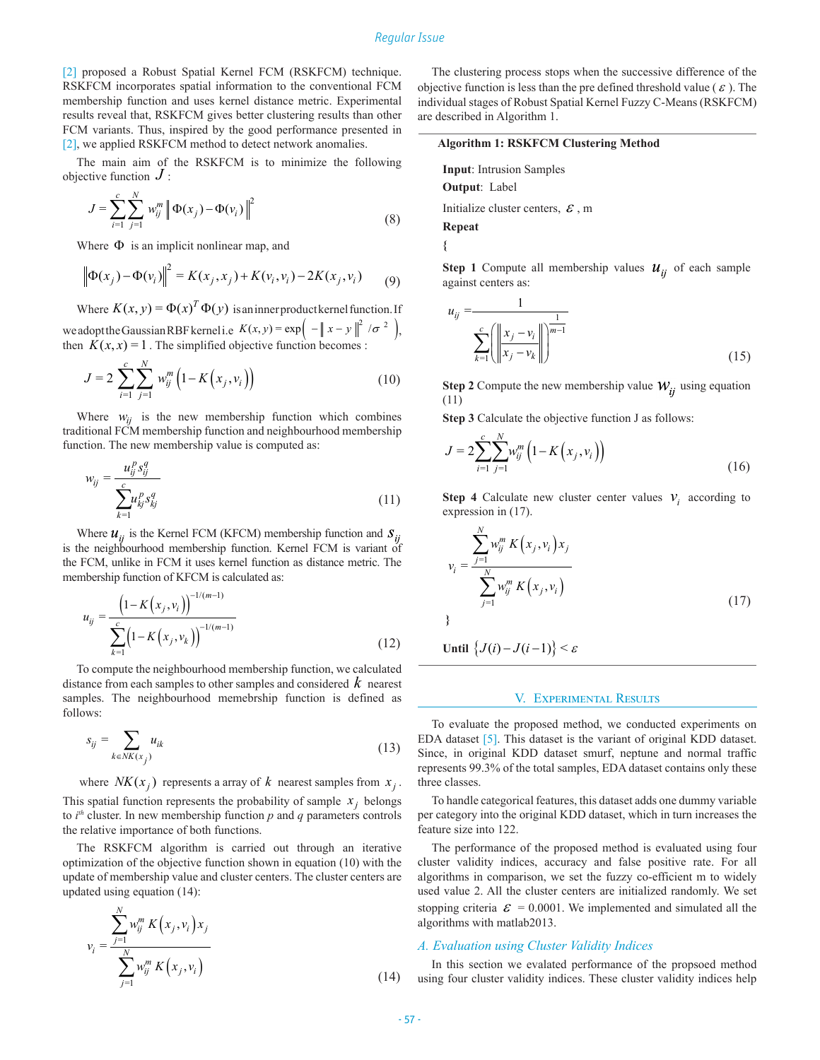#### *Regular Issue*

[2] proposed a Robust Spatial Kernel FCM (RSKFCM) technique. RSKFCM incorporates spatial information to the conventional FCM membership function and uses kernel distance metric. Experimental results reveal that, RSKFCM gives better clustering results than other FCM variants. Thus, inspired by the good performance presented in [2], we applied RSKFCM method to detect network anomalies.

The main aim of the RSKFCM is to minimize the following objective function *J* :

$$
J = \sum_{i=1}^{c} \sum_{j=1}^{N} w_{ij}^{m} \left\| \Phi(x_j) - \Phi(v_i) \right\|^2
$$
 (8)

Where  $\Phi$  is an implicit nonlinear map, and

$$
\left\| \Phi(x_j) - \Phi(v_i) \right\|^2 = K(x_j, x_j) + K(v_i, v_i) - 2K(x_j, v_i) \tag{9}
$$

Where  $K(x, y) = \Phi(x)^T \Phi(y)$  is an inner product kernel function. If

we adopt the Gaussian RBF kernel i.e  $K(x, y) = \exp \left( -\left\| x - y \right\|^2 / \sigma^2 \right),$ then  $K(x, x) = 1$ . The simplified objective function becomes :

$$
J = 2 \sum_{i=1}^{c} \sum_{j=1}^{N} w_{ij}^{m} \left( 1 - K(x_j, v_i) \right)
$$
 (10)

Where  $w_{ij}$  is the new membership function which combines traditional FCM membership function and neighbourhood membership function. The new membership value is computed as:

$$
w_{ij} = \frac{u_{ij}^p s_{ij}^q}{\sum_{k=1}^c u_{kj}^p s_{kj}^q}
$$
 (11)

Where  $u_{ii}$  is the Kernel FCM (KFCM) membership function and  $S_{ii}$ is the neighbourhood membership function. Kernel FCM is variant of the FCM, unlike in FCM it uses kernel function as distance metric. The membership function of KFCM is calculated as:

$$
u_{ij} = \frac{\left(1 - K(x_j, v_i)\right)^{-1/(m-1)}}{\sum_{k=1}^{c} \left(1 - K(x_j, v_k)\right)^{-1/(m-1)}}
$$
\n(12)

To compute the neighbourhood membership function, we calculated distance from each samples to other samples and considered *k* nearest samples. The neighbourhood memebrship function is defined as follows:

$$
s_{ij} = \sum_{k \in NK(x_j)} u_{ik} \tag{13}
$$

where  $NK(x_i)$  represents a array of *k* nearest samples from  $x_i$ . This spatial function represents the probability of sample  $x_j$  belongs to  $i^{th}$  cluster. In new membership function  $p$  and  $q$  parameters controls the relative importance of both functions.

The RSKFCM algorithm is carried out through an iterative optimization of the objective function shown in equation (10) with the update of membership value and cluster centers. The cluster centers are updated using equation (14):

$$
v_i = \frac{\sum_{j=1}^{N} w_{ij}^m K(x_j, v_i) x_j}{\sum_{j=1}^{N} w_{ij}^m K(x_j, v_i)}
$$
(14)

The clustering process stops when the successive difference of the objective function is less than the pre defined threshold value ( $\varepsilon$ ). The individual stages of Robust Spatial Kernel Fuzzy C-Means (RSKFCM) are described in Algorithm 1.

#### **Algorithm 1: RSKFCM Clustering Method**

**Input**: Intrusion Samples **Output**: Label

Initialize cluster centers,  $\mathcal E$ , m

**Repeat {**

**Step 1** Compute all membership values  $u_{ii}$  of each sample against centers as:

$$
u_{ij} = \frac{1}{\sum_{k=1}^{c} \left( \left\| \frac{x_j - v_i}{x_j - v_k} \right\| \right)^{\frac{1}{m-1}}}
$$
(15)

**Step 2** Compute the new membership value  $W_{ii}$  using equation (11)

**Step 3** Calculate the objective function J as follows:

$$
J = 2\sum_{i=1}^{c} \sum_{j=1}^{N} w_{ij}^{m} \left( 1 - K\left(x_j, v_i\right) \right)
$$
\n(16)

**Step 4** Calculate new cluster center values  $v_i$  according to expression in (17).

$$
v_i = \frac{\sum_{j=1}^{N} w_{ij}^m K(x_j, v_i) x_j}{\sum_{j=1}^{N} w_{ij}^m K(x_j, v_i)}
$$
(17)

Until  $\{J(i) - J(i-1)\} < \varepsilon$ 

#### V. Experimental Results

To evaluate the proposed method, we conducted experiments on EDA dataset [5]. This dataset is the variant of original KDD dataset. Since, in original KDD dataset smurf, neptune and normal traffic represents 99.3% of the total samples, EDA dataset contains only these three classes.

To handle categorical features, this dataset adds one dummy variable per category into the original KDD dataset, which in turn increases the feature size into 122.

The performance of the proposed method is evaluated using four cluster validity indices, accuracy and false positive rate. For all algorithms in comparison, we set the fuzzy co-efficient m to widely used value 2. All the cluster centers are initialized randomly. We set stopping criteria  $\mathcal{E} = 0.0001$ . We implemented and simulated all the algorithms with matlab2013.

#### *A. Evaluation using Cluster Validity Indices*

In this section we evalated performance of the propsoed method using four cluster validity indices. These cluster validity indices help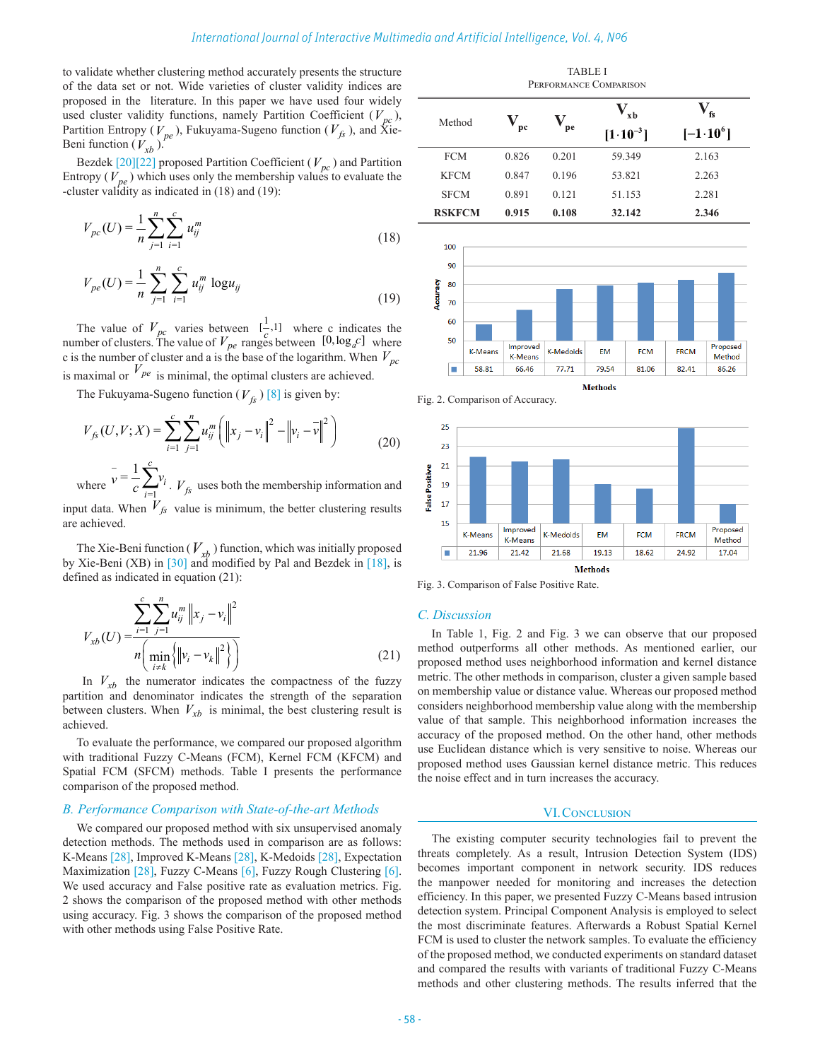to validate whether clustering method accurately presents the structure of the data set or not. Wide varieties of cluster validity indices are proposed in the literature. In this paper we have used four widely used cluster validity functions, namely Partition Coefficient  $(V_{pc})$ , Partition Entropy ( $V_{pe}$ ), Fukuyama-Sugeno function ( $V_{fs}$ ), and Xie-Beni function  $(V_{xb})$ .

Bezdek  $[20][22]$  proposed Partition Coefficient ( $V_{pc}$ ) and Partition Entropy  $(V_{pe})$  which uses only the membership values to evaluate the -cluster validity as indicated in (18) and (19):

$$
V_{pc}(U) = \frac{1}{n} \sum_{j=1}^{n} \sum_{i=1}^{c} u_{ij}^{m}
$$
 (18)

$$
V_{pe}(U) = \frac{1}{n} \sum_{j=1}^{n} \sum_{i=1}^{c} u_{ij}^{m} \log u_{ij}
$$
 (19)

The value of  $V_{pc}$  varies between  $\begin{bmatrix} 1 \\ c \end{bmatrix}$ , where c indicates the number of clusters. The value of  $V_{pe}$  ranges between  $\begin{bmatrix} 0, \log_a c \end{bmatrix}$  where c is the number of cluster and a is the base of the logarithm. When  $V_{pc}$ is maximal or  $V_{pe}$  is minimal, the optimal clusters are achieved.

The Fukuyama-Sugeno function  $(V_f)$  [8] is given by:

$$
V_{f_{\mathcal{S}}}(U, V; X) = \sum_{i=1}^{c} \sum_{j=1}^{n} u_{ij}^{m} \left( \left\| x_{j} - v_{i} \right\|^{2} - \left\| v_{i} - \overline{v} \right\|^{2} \right)
$$
(20)

where  $\sum_{i=1}^{k}$  $=\frac{1}{2}\sum_{i}^{c}v_{i}$ *i*  $v = -\frac{1}{c} \sum_{i=1}^{n} v_i$  $\bar{v} = \frac{1}{c} \sum_{i=1}^{c} v_i$ .  $V_{fs}$  uses both the membership information and input data. When  $V_{fs}$  value is minimum, the better clustering results are achieved.

The Xie-Beni function ( $V_{rb}$ ) function, which was initially proposed by Xie-Beni (XB) in [30] and modified by Pal and Bezdek in [18], is defined as indicated in equation (21):

$$
V_{xb}(U) = \frac{\sum_{i=1}^{c} \sum_{j=1}^{n} u_{ij}^{m} ||x_j - v_i||^2}{n \left( \min_{i \neq k} \left\{ ||v_i - v_k||^2 \right\} \right)}
$$
(21)

In  $V_{xb}$  the numerator indicates the compactness of the fuzzy partition and denominator indicates the strength of the separation between clusters. When  $V_{xb}$  is minimal, the best clustering result is achieved.

To evaluate the performance, we compared our proposed algorithm with traditional Fuzzy C-Means (FCM), Kernel FCM (KFCM) and Spatial FCM (SFCM) methods. Table I presents the performance comparison of the proposed method.

#### *B. Performance Comparison with State-of-the-art Methods*

We compared our proposed method with six unsupervised anomaly detection methods. The methods used in comparison are as follows: K-Means [28], Improved K-Means [28], K-Medoids [28], Expectation Maximization [28], Fuzzy C-Means [6], Fuzzy Rough Clustering [6]. We used accuracy and False positive rate as evaluation metrics. Fig. 2 shows the comparison of the proposed method with other methods using accuracy. Fig. 3 shows the comparison of the proposed method with other methods using False Positive Rate.

TABLE I Performance Comparison  $\mathbf{V}_{\mathbf{v}\mathbf{h}}$  $\mathbf{V}_{\mathbf{fs}}$  $\mathbf{V}_{\rm pe}$  $\mathbf{V}_{\mathbf{pc}}$ Method  $[1 \cdot 10^{-3}]$  $[-1.10^6]$ FCM 0.826 0.201 59.349 2.163 KFCM 0.847 0.196 53.821 2.263 SFCM 0.891 0.121 51.153 2.281



Fig. 2. Comparison of Accuracy.



Fig. 3. Comparison of False Positive Rate.

#### *C. Discussion*

In Table 1, Fig. 2 and Fig. 3 we can observe that our proposed method outperforms all other methods. As mentioned earlier, our proposed method uses neighborhood information and kernel distance metric. The other methods in comparison, cluster a given sample based on membership value or distance value. Whereas our proposed method considers neighborhood membership value along with the membership value of that sample. This neighborhood information increases the accuracy of the proposed method. On the other hand, other methods use Euclidean distance which is very sensitive to noise. Whereas our proposed method uses Gaussian kernel distance metric. This reduces the noise effect and in turn increases the accuracy.

#### VI. CONCLUSION

The existing computer security technologies fail to prevent the threats completely. As a result, Intrusion Detection System (IDS) becomes important component in network security. IDS reduces the manpower needed for monitoring and increases the detection efficiency. In this paper, we presented Fuzzy C-Means based intrusion detection system. Principal Component Analysis is employed to select the most discriminate features. Afterwards a Robust Spatial Kernel FCM is used to cluster the network samples. To evaluate the efficiency of the proposed method, we conducted experiments on standard dataset and compared the results with variants of traditional Fuzzy C-Means methods and other clustering methods. The results inferred that the